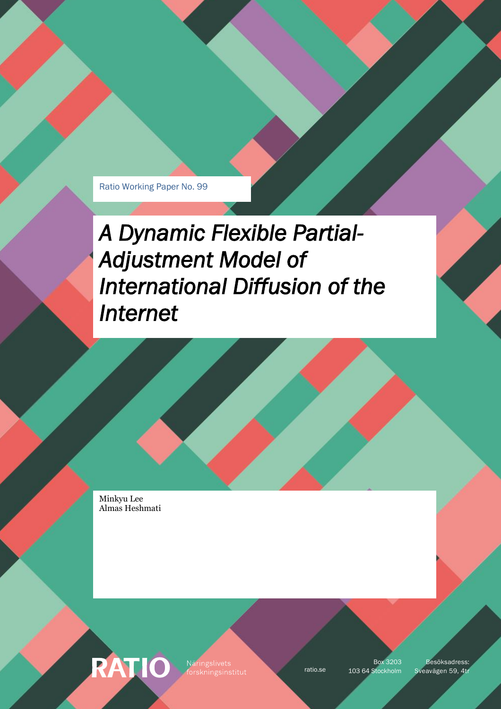Ratio Working Paper No. 99

*A Dynamic Flexible Partial-Adjustment Model of International Diffusion of the Internet* 

Minkyu Lee Almas Heshmati

**RATIO** 

Näringslivets

Box 3203

ratio.se 103 64 Stockholm Sveavägen 59, 4tr Besöksadress: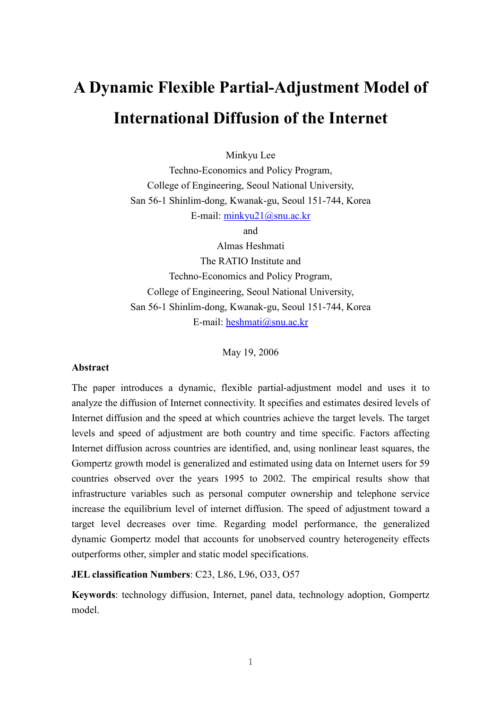# A Dynamic Flexible Partial-Adjustment Model of International Diffusion of the Internet

Minkyu Lee

Techno-Economics and Policy Program, College of Engineering, Seoul National University, San 56-1 Shinlim-dong, Kwanak-gu, Seoul 151-744, Korea E-mail: minkyu21@snu.ac.kr

and

Almas Heshmati The RATIO Institute and Techno-Economics and Policy Program, College of Engineering, Seoul National University, San 56-1 Shinlim-dong, Kwanak-gu, Seoul 151-744, Korea E-mail: heshmati@snu.ac.kr

May 19, 2006

#### Abstract

The paper introduces a dynamic, flexible partial-adjustment model and uses it to analyze the diffusion of Internet connectivity. It specifies and estimates desired levels of Internet diffusion and the speed at which countries achieve the target levels. The target levels and speed of adjustment are both country and time specific. Factors affecting Internet diffusion across countries are identified, and, using nonlinear least squares, the Gompertz growth model is generalized and estimated using data on Internet users for 59 countries observed over the years 1995 to 2002. The empirical results show that infrastructure variables such as personal computer ownership and telephone service increase the equilibrium level of internet diffusion. The speed of adjustment toward a target level decreases over time. Regarding model performance, the generalized dynamic Gompertz model that accounts for unobserved country heterogeneity effects outperforms other, simpler and static model specifications.

JEL classification Numbers: C23, L86, L96, O33, O57

Keywords: technology diffusion, Internet, panel data, technology adoption, Gompertz model.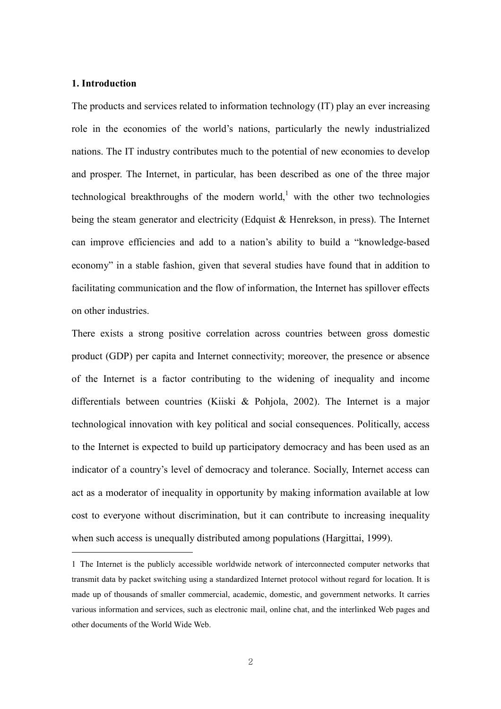## 1. Introduction

The products and services related to information technology (IT) play an ever increasing role in the economies of the world's nations, particularly the newly industrialized nations. The IT industry contributes much to the potential of new economies to develop and prosper. The Internet, in particular, has been described as one of the three major technological breakthroughs of the modern world,<sup>1</sup> with the other two technologies being the steam generator and electricity (Edquist & Henrekson, in press). The Internet can improve efficiencies and add to a nation's ability to build a "knowledge-based economy" in a stable fashion, given that several studies have found that in addition to facilitating communication and the flow of information, the Internet has spillover effects on other industries.

There exists a strong positive correlation across countries between gross domestic product (GDP) per capita and Internet connectivity; moreover, the presence or absence of the Internet is a factor contributing to the widening of inequality and income differentials between countries (Kiiski & Pohjola, 2002). The Internet is a major technological innovation with key political and social consequences. Politically, access to the Internet is expected to build up participatory democracy and has been used as an indicator of a country's level of democracy and tolerance. Socially, Internet access can act as a moderator of inequality in opportunity by making information available at low cost to everyone without discrimination, but it can contribute to increasing inequality when such access is unequally distributed among populations (Hargittai, 1999).

<sup>1</sup> The Internet is the publicly accessible worldwide network of interconnected computer networks that transmit data by packet switching using a standardized Internet protocol without regard for location. It is made up of thousands of smaller commercial, academic, domestic, and government networks. It carries various information and services, such as electronic mail, online chat, and the interlinked Web pages and other documents of the World Wide Web.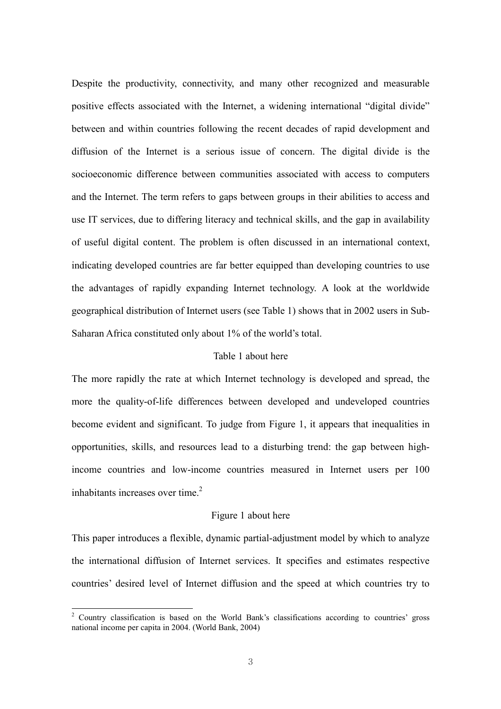Despite the productivity, connectivity, and many other recognized and measurable positive effects associated with the Internet, a widening international "digital divide" between and within countries following the recent decades of rapid development and diffusion of the Internet is a serious issue of concern. The digital divide is the socioeconomic difference between communities associated with access to computers and the Internet. The term refers to gaps between groups in their abilities to access and use IT services, due to differing literacy and technical skills, and the gap in availability of useful digital content. The problem is often discussed in an international context, indicating developed countries are far better equipped than developing countries to use the advantages of rapidly expanding Internet technology. A look at the worldwide geographical distribution of Internet users (see Table 1) shows that in 2002 users in Sub-Saharan Africa constituted only about 1% of the world's total.

# Table 1 about here

The more rapidly the rate at which Internet technology is developed and spread, the more the quality-of-life differences between developed and undeveloped countries become evident and significant. To judge from Figure 1, it appears that inequalities in opportunities, skills, and resources lead to a disturbing trend: the gap between highincome countries and low-income countries measured in Internet users per 100 inhabitants increases over time. $2$ 

## Figure 1 about here

This paper introduces a flexible, dynamic partial-adjustment model by which to analyze the international diffusion of Internet services. It specifies and estimates respective countries' desired level of Internet diffusion and the speed at which countries try to

 $\overline{a}$ 

<sup>&</sup>lt;sup>2</sup> Country classification is based on the World Bank's classifications according to countries' gross national income per capita in 2004. (World Bank, 2004)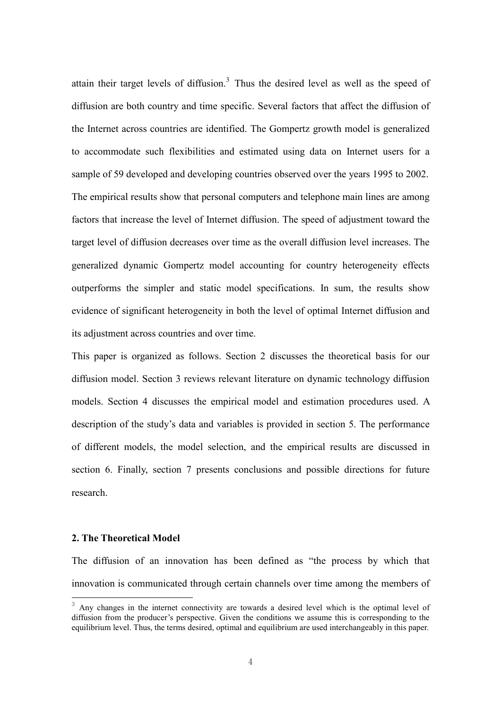attain their target levels of diffusion.<sup>3</sup> Thus the desired level as well as the speed of diffusion are both country and time specific. Several factors that affect the diffusion of the Internet across countries are identified. The Gompertz growth model is generalized to accommodate such flexibilities and estimated using data on Internet users for a sample of 59 developed and developing countries observed over the years 1995 to 2002. The empirical results show that personal computers and telephone main lines are among factors that increase the level of Internet diffusion. The speed of adjustment toward the target level of diffusion decreases over time as the overall diffusion level increases. The generalized dynamic Gompertz model accounting for country heterogeneity effects outperforms the simpler and static model specifications. In sum, the results show evidence of significant heterogeneity in both the level of optimal Internet diffusion and its adjustment across countries and over time.

This paper is organized as follows. Section 2 discusses the theoretical basis for our diffusion model. Section 3 reviews relevant literature on dynamic technology diffusion models. Section 4 discusses the empirical model and estimation procedures used. A description of the study's data and variables is provided in section 5. The performance of different models, the model selection, and the empirical results are discussed in section 6. Finally, section 7 presents conclusions and possible directions for future research.

## 2. The Theoretical Model

The diffusion of an innovation has been defined as "the process by which that innovation is communicated through certain channels over time among the members of

<sup>&</sup>lt;sup>3</sup> Any changes in the internet connectivity are towards a desired level which is the optimal level of diffusion from the producer's perspective. Given the conditions we assume this is corresponding to the equilibrium level. Thus, the terms desired, optimal and equilibrium are used interchangeably in this paper.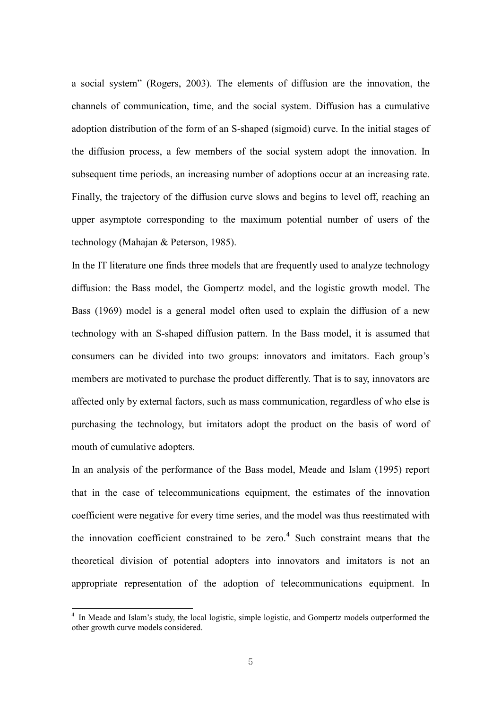a social system" (Rogers, 2003). The elements of diffusion are the innovation, the channels of communication, time, and the social system. Diffusion has a cumulative adoption distribution of the form of an S-shaped (sigmoid) curve. In the initial stages of the diffusion process, a few members of the social system adopt the innovation. In subsequent time periods, an increasing number of adoptions occur at an increasing rate. Finally, the trajectory of the diffusion curve slows and begins to level off, reaching an upper asymptote corresponding to the maximum potential number of users of the technology (Mahajan & Peterson, 1985).

In the IT literature one finds three models that are frequently used to analyze technology diffusion: the Bass model, the Gompertz model, and the logistic growth model. The Bass (1969) model is a general model often used to explain the diffusion of a new technology with an S-shaped diffusion pattern. In the Bass model, it is assumed that consumers can be divided into two groups: innovators and imitators. Each group's members are motivated to purchase the product differently. That is to say, innovators are affected only by external factors, such as mass communication, regardless of who else is purchasing the technology, but imitators adopt the product on the basis of word of mouth of cumulative adopters.

In an analysis of the performance of the Bass model, Meade and Islam (1995) report that in the case of telecommunications equipment, the estimates of the innovation coefficient were negative for every time series, and the model was thus reestimated with the innovation coefficient constrained to be zero. $4$  Such constraint means that the theoretical division of potential adopters into innovators and imitators is not an appropriate representation of the adoption of telecommunications equipment. In

 $\overline{a}$ 

<sup>&</sup>lt;sup>4</sup> In Meade and Islam's study, the local logistic, simple logistic, and Gompertz models outperformed the other growth curve models considered.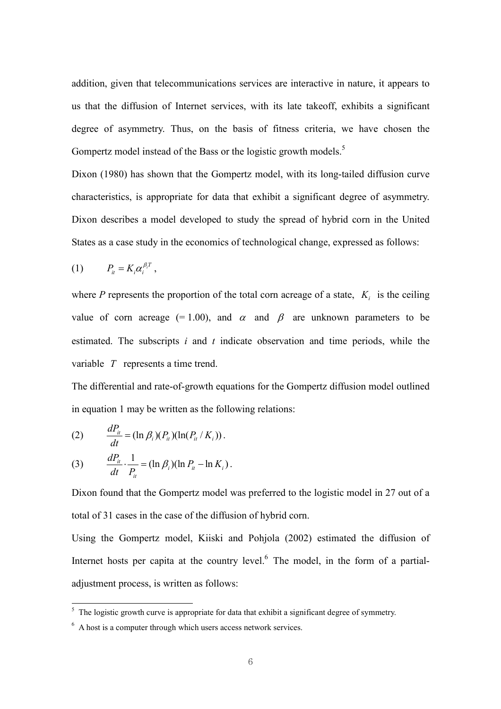addition, given that telecommunications services are interactive in nature, it appears to us that the diffusion of Internet services, with its late takeoff, exhibits a significant degree of asymmetry. Thus, on the basis of fitness criteria, we have chosen the Gompertz model instead of the Bass or the logistic growth models.<sup>5</sup>

Dixon (1980) has shown that the Gompertz model, with its long-tailed diffusion curve characteristics, is appropriate for data that exhibit a significant degree of asymmetry. Dixon describes a model developed to study the spread of hybrid corn in the United States as a case study in the economics of technological change, expressed as follows:

$$
(1) \t P_{it} = K_i \alpha_i^{\beta_i T},
$$

where P represents the proportion of the total corn acreage of a state,  $K_i$  is the ceiling value of corn acreage (= 1.00), and  $\alpha$  and  $\beta$  are unknown parameters to be estimated. The subscripts  $i$  and  $t$  indicate observation and time periods, while the variable  $T$  represents a time trend.

The differential and rate-of-growth equations for the Gompertz diffusion model outlined in equation 1 may be written as the following relations:

(2) 
$$
\frac{dP_{it}}{dt} = (\ln \beta_i)(P_{it})(\ln(P_{it} / K_i)).
$$

(3) 
$$
\frac{dP_{it}}{dt} \cdot \frac{1}{P_{it}} = (\ln \beta_i)(\ln P_{it} - \ln K_i).
$$

Dixon found that the Gompertz model was preferred to the logistic model in 27 out of a total of 31 cases in the case of the diffusion of hybrid corn.

Using the Gompertz model, Kiiski and Pohjola (2002) estimated the diffusion of Internet hosts per capita at the country level. $<sup>6</sup>$  The model, in the form of a partial-</sup> adjustment process, is written as follows:

<sup>&</sup>lt;sup>5</sup> The logistic growth curve is appropriate for data that exhibit a significant degree of symmetry.

<sup>6</sup> A host is a computer through which users access network services.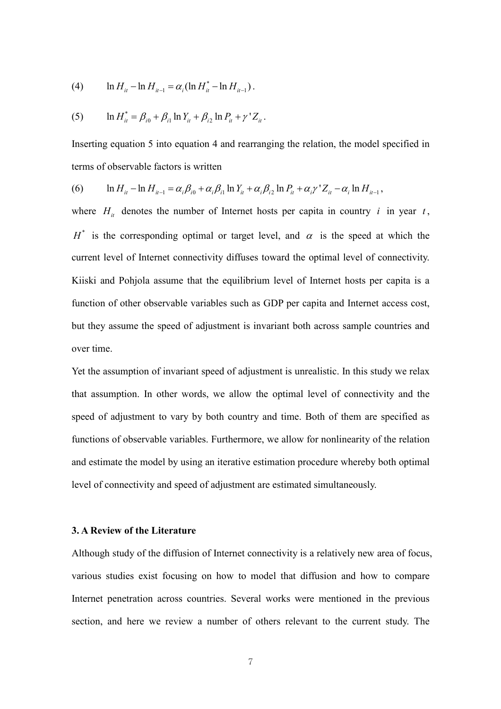(4) 
$$
\ln H_{it} - \ln H_{it-1} = \alpha_i (\ln H_{it}^* - \ln H_{it-1}).
$$

(5) 
$$
\ln H_{it}^* = \beta_{i0} + \beta_{i1} \ln Y_{it} + \beta_{i2} \ln P_{it} + \gamma' Z_{it}.
$$

Inserting equation 5 into equation 4 and rearranging the relation, the model specified in terms of observable factors is written

(6) 
$$
\ln H_{it} - \ln H_{it-1} = \alpha_i \beta_{i0} + \alpha_i \beta_{i1} \ln Y_{it} + \alpha_i \beta_{i2} \ln P_{it} + \alpha_i \gamma' Z_{it} - \alpha_i \ln H_{it-1},
$$

where  $H_{ii}$  denotes the number of Internet hosts per capita in country i in year t,  $H^*$  is the corresponding optimal or target level, and  $\alpha$  is the speed at which the current level of Internet connectivity diffuses toward the optimal level of connectivity. Kiiski and Pohjola assume that the equilibrium level of Internet hosts per capita is a function of other observable variables such as GDP per capita and Internet access cost, but they assume the speed of adjustment is invariant both across sample countries and over time.

Yet the assumption of invariant speed of adjustment is unrealistic. In this study we relax that assumption. In other words, we allow the optimal level of connectivity and the speed of adjustment to vary by both country and time. Both of them are specified as functions of observable variables. Furthermore, we allow for nonlinearity of the relation and estimate the model by using an iterative estimation procedure whereby both optimal level of connectivity and speed of adjustment are estimated simultaneously.

# 3. A Review of the Literature

Although study of the diffusion of Internet connectivity is a relatively new area of focus, various studies exist focusing on how to model that diffusion and how to compare Internet penetration across countries. Several works were mentioned in the previous section, and here we review a number of others relevant to the current study. The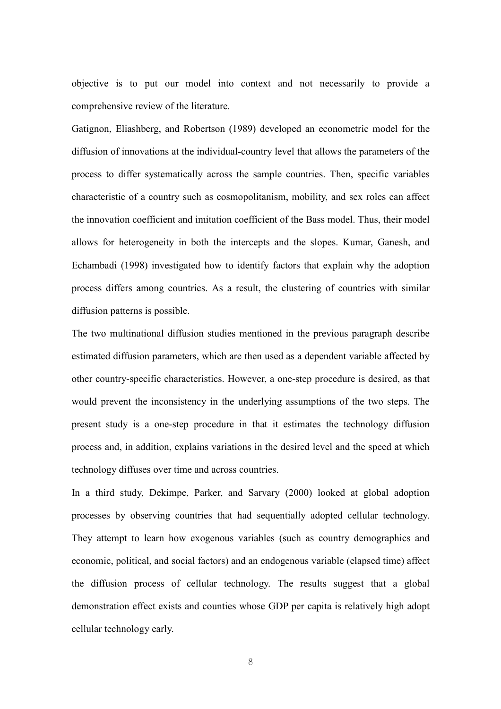objective is to put our model into context and not necessarily to provide a comprehensive review of the literature.

Gatignon, Eliashberg, and Robertson (1989) developed an econometric model for the diffusion of innovations at the individual-country level that allows the parameters of the process to differ systematically across the sample countries. Then, specific variables characteristic of a country such as cosmopolitanism, mobility, and sex roles can affect the innovation coefficient and imitation coefficient of the Bass model. Thus, their model allows for heterogeneity in both the intercepts and the slopes. Kumar, Ganesh, and Echambadi (1998) investigated how to identify factors that explain why the adoption process differs among countries. As a result, the clustering of countries with similar diffusion patterns is possible.

The two multinational diffusion studies mentioned in the previous paragraph describe estimated diffusion parameters, which are then used as a dependent variable affected by other country-specific characteristics. However, a one-step procedure is desired, as that would prevent the inconsistency in the underlying assumptions of the two steps. The present study is a one-step procedure in that it estimates the technology diffusion process and, in addition, explains variations in the desired level and the speed at which technology diffuses over time and across countries.

In a third study, Dekimpe, Parker, and Sarvary (2000) looked at global adoption processes by observing countries that had sequentially adopted cellular technology. They attempt to learn how exogenous variables (such as country demographics and economic, political, and social factors) and an endogenous variable (elapsed time) affect the diffusion process of cellular technology. The results suggest that a global demonstration effect exists and counties whose GDP per capita is relatively high adopt cellular technology early.

8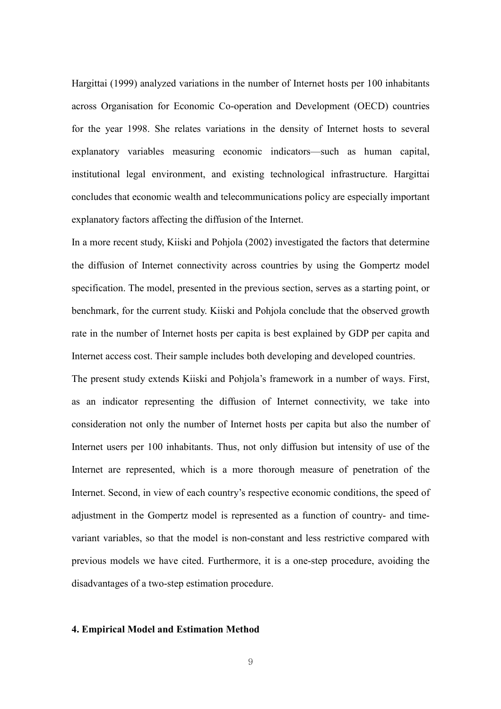Hargittai (1999) analyzed variations in the number of Internet hosts per 100 inhabitants across Organisation for Economic Co-operation and Development (OECD) countries for the year 1998. She relates variations in the density of Internet hosts to several explanatory variables measuring economic indicators—such as human capital, institutional legal environment, and existing technological infrastructure. Hargittai concludes that economic wealth and telecommunications policy are especially important explanatory factors affecting the diffusion of the Internet.

In a more recent study, Kiiski and Pohjola (2002) investigated the factors that determine the diffusion of Internet connectivity across countries by using the Gompertz model specification. The model, presented in the previous section, serves as a starting point, or benchmark, for the current study. Kiiski and Pohjola conclude that the observed growth rate in the number of Internet hosts per capita is best explained by GDP per capita and Internet access cost. Their sample includes both developing and developed countries.

The present study extends Kiiski and Pohjola's framework in a number of ways. First, as an indicator representing the diffusion of Internet connectivity, we take into consideration not only the number of Internet hosts per capita but also the number of Internet users per 100 inhabitants. Thus, not only diffusion but intensity of use of the Internet are represented, which is a more thorough measure of penetration of the Internet. Second, in view of each country's respective economic conditions, the speed of adjustment in the Gompertz model is represented as a function of country- and timevariant variables, so that the model is non-constant and less restrictive compared with previous models we have cited. Furthermore, it is a one-step procedure, avoiding the disadvantages of a two-step estimation procedure.

#### 4. Empirical Model and Estimation Method

9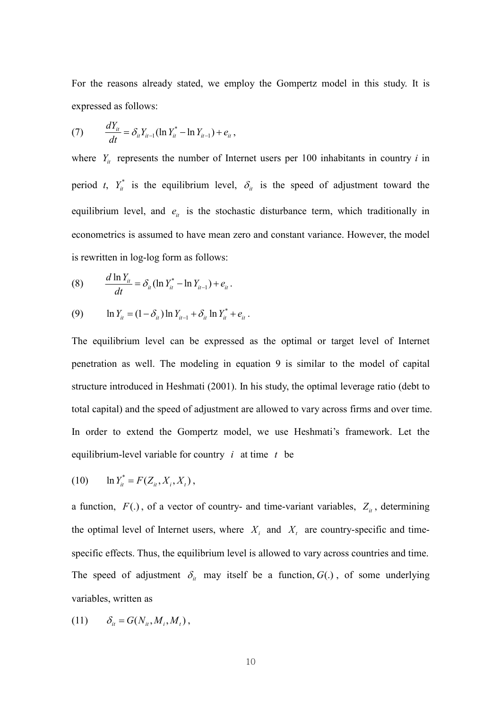For the reasons already stated, we employ the Gompertz model in this study. It is expressed as follows:

(7) 
$$
\frac{dY_{ii}}{dt} = \delta_{ii} Y_{ii-1} (\ln Y_{ii}^* - \ln Y_{ii-1}) + e_{ii},
$$

where  $Y_{it}$  represents the number of Internet users per 100 inhabitants in country i in period *t*,  $Y_{it}^{*}$  is the equilibrium level,  $\delta_{it}$  is the speed of adjustment toward the equilibrium level, and  $e_{it}$  is the stochastic disturbance term, which traditionally in econometrics is assumed to have mean zero and constant variance. However, the model is rewritten in log-log form as follows:

(8) 
$$
\frac{d \ln Y_{it}}{dt} = \delta_{it} (\ln Y_{it}^* - \ln Y_{it-1}) + e_{it}.
$$

(9) 
$$
\ln Y_{it} = (1 - \delta_{it}) \ln Y_{it-1} + \delta_{it} \ln Y_{it}^* + e_{it}.
$$

The equilibrium level can be expressed as the optimal or target level of Internet penetration as well. The modeling in equation 9 is similar to the model of capital structure introduced in Heshmati (2001). In his study, the optimal leverage ratio (debt to total capital) and the speed of adjustment are allowed to vary across firms and over time. In order to extend the Gompertz model, we use Heshmati's framework. Let the equilibrium-level variable for country  $i$  at time  $t$  be

(10) 
$$
\ln Y_{it}^* = F(Z_{it}, X_i, X_t)
$$
,

a function,  $F(.)$ , of a vector of country- and time-variant variables,  $Z_{it}$ , determining the optimal level of Internet users, where  $X_i$  and  $X_t$  are country-specific and timespecific effects. Thus, the equilibrium level is allowed to vary across countries and time. The speed of adjustment  $\delta_{\mu}$  may itself be a function,  $G(.)$ , of some underlying variables, written as

$$
(11) \qquad \delta_{it} = G(N_{it}, M_i, M_t),
$$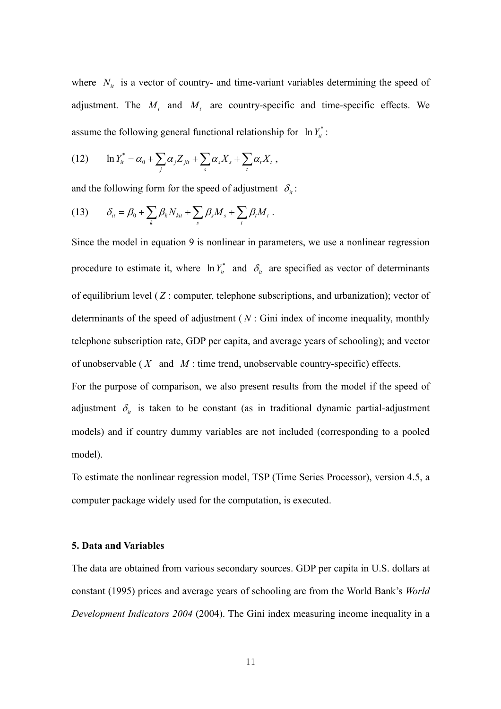where  $N_{it}$  is a vector of country- and time-variant variables determining the speed of adjustment. The  $M_i$  and  $M_t$  are country-specific and time-specific effects. We assume the following general functional relationship for  $\ln Y_i^*$ :

(12) 
$$
\ln Y_{it}^* = \alpha_0 + \sum_j \alpha_j Z_{jit} + \sum_s \alpha_s X_s + \sum_t \alpha_t X_t,
$$

and the following form for the speed of adjustment  $\delta_i$ :

$$
(13) \qquad \delta_{it} = \beta_0 + \sum_k \beta_k N_{kit} + \sum_s \beta_s M_s + \sum_t \beta_t M_t.
$$

Since the model in equation 9 is nonlinear in parameters, we use a nonlinear regression procedure to estimate it, where  $\ln Y_{it}^{*}$  and  $\delta_{it}$  are specified as vector of determinants of equilibrium level  $(Z:$  computer, telephone subscriptions, and urbanization); vector of determinants of the speed of adjustment ( $N$ : Gini index of income inequality, monthly telephone subscription rate, GDP per capita, and average years of schooling); and vector of unobservable ( $X$  and  $M$ : time trend, unobservable country-specific) effects.

For the purpose of comparison, we also present results from the model if the speed of adjustment  $\delta_{it}$  is taken to be constant (as in traditional dynamic partial-adjustment models) and if country dummy variables are not included (corresponding to a pooled model).

To estimate the nonlinear regression model, TSP (Time Series Processor), version 4.5, a computer package widely used for the computation, is executed.

#### 5. Data and Variables

The data are obtained from various secondary sources. GDP per capita in U.S. dollars at constant (1995) prices and average years of schooling are from the World Bank's World Development Indicators 2004 (2004). The Gini index measuring income inequality in a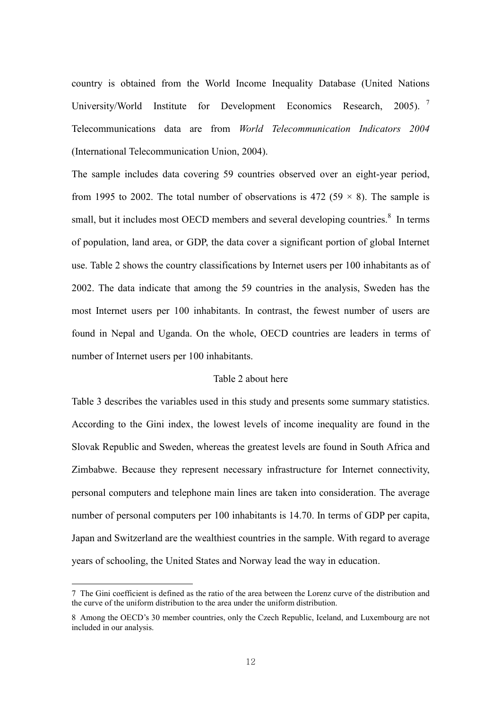country is obtained from the World Income Inequality Database (United Nations University/World Institute for Development Economics Research, 2005).<sup>7</sup> Telecommunications data are from World Telecommunication Indicators 2004 (International Telecommunication Union, 2004).

The sample includes data covering 59 countries observed over an eight-year period, from 1995 to 2002. The total number of observations is 472 (59  $\times$  8). The sample is small, but it includes most OECD members and several developing countries.<sup>8</sup> In terms of population, land area, or GDP, the data cover a significant portion of global Internet use. Table 2 shows the country classifications by Internet users per 100 inhabitants as of 2002. The data indicate that among the 59 countries in the analysis, Sweden has the most Internet users per 100 inhabitants. In contrast, the fewest number of users are found in Nepal and Uganda. On the whole, OECD countries are leaders in terms of number of Internet users per 100 inhabitants.

# Table 2 about here

Table 3 describes the variables used in this study and presents some summary statistics. According to the Gini index, the lowest levels of income inequality are found in the Slovak Republic and Sweden, whereas the greatest levels are found in South Africa and Zimbabwe. Because they represent necessary infrastructure for Internet connectivity, personal computers and telephone main lines are taken into consideration. The average number of personal computers per 100 inhabitants is 14.70. In terms of GDP per capita, Japan and Switzerland are the wealthiest countries in the sample. With regard to average years of schooling, the United States and Norway lead the way in education.

<sup>7</sup> The Gini coefficient is defined as the ratio of the area between the Lorenz curve of the distribution and the curve of the uniform distribution to the area under the uniform distribution.

<sup>8</sup> Among the OECD's 30 member countries, only the Czech Republic, Iceland, and Luxembourg are not included in our analysis.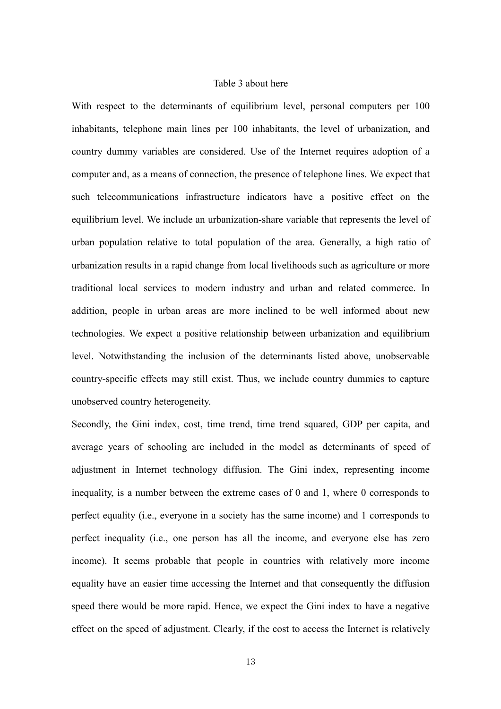## Table 3 about here

With respect to the determinants of equilibrium level, personal computers per 100 inhabitants, telephone main lines per 100 inhabitants, the level of urbanization, and country dummy variables are considered. Use of the Internet requires adoption of a computer and, as a means of connection, the presence of telephone lines. We expect that such telecommunications infrastructure indicators have a positive effect on the equilibrium level. We include an urbanization-share variable that represents the level of urban population relative to total population of the area. Generally, a high ratio of urbanization results in a rapid change from local livelihoods such as agriculture or more traditional local services to modern industry and urban and related commerce. In addition, people in urban areas are more inclined to be well informed about new technologies. We expect a positive relationship between urbanization and equilibrium level. Notwithstanding the inclusion of the determinants listed above, unobservable country-specific effects may still exist. Thus, we include country dummies to capture unobserved country heterogeneity.

Secondly, the Gini index, cost, time trend, time trend squared, GDP per capita, and average years of schooling are included in the model as determinants of speed of adjustment in Internet technology diffusion. The Gini index, representing income inequality, is a number between the extreme cases of 0 and 1, where 0 corresponds to perfect equality (i.e., everyone in a society has the same income) and 1 corresponds to perfect inequality (i.e., one person has all the income, and everyone else has zero income). It seems probable that people in countries with relatively more income equality have an easier time accessing the Internet and that consequently the diffusion speed there would be more rapid. Hence, we expect the Gini index to have a negative effect on the speed of adjustment. Clearly, if the cost to access the Internet is relatively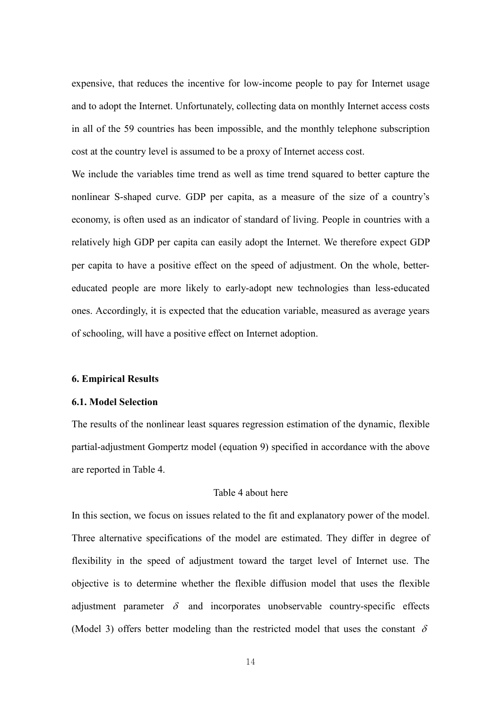expensive, that reduces the incentive for low-income people to pay for Internet usage and to adopt the Internet. Unfortunately, collecting data on monthly Internet access costs in all of the 59 countries has been impossible, and the monthly telephone subscription cost at the country level is assumed to be a proxy of Internet access cost.

We include the variables time trend as well as time trend squared to better capture the nonlinear S-shaped curve. GDP per capita, as a measure of the size of a country's economy, is often used as an indicator of standard of living. People in countries with a relatively high GDP per capita can easily adopt the Internet. We therefore expect GDP per capita to have a positive effect on the speed of adjustment. On the whole, bettereducated people are more likely to early-adopt new technologies than less-educated ones. Accordingly, it is expected that the education variable, measured as average years of schooling, will have a positive effect on Internet adoption.

#### 6. Empirical Results

## 6.1. Model Selection

The results of the nonlinear least squares regression estimation of the dynamic, flexible partial-adjustment Gompertz model (equation 9) specified in accordance with the above are reported in Table 4.

# Table 4 about here

In this section, we focus on issues related to the fit and explanatory power of the model. Three alternative specifications of the model are estimated. They differ in degree of flexibility in the speed of adjustment toward the target level of Internet use. The objective is to determine whether the flexible diffusion model that uses the flexible adjustment parameter  $\delta$  and incorporates unobservable country-specific effects (Model 3) offers better modeling than the restricted model that uses the constant  $\delta$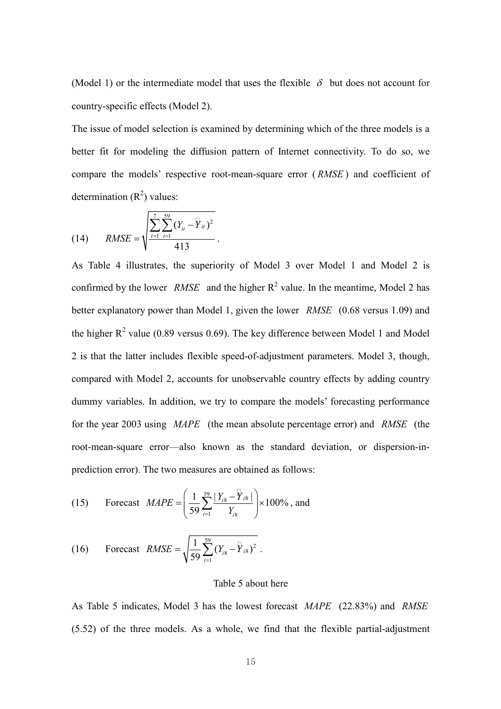(Model 1) or the intermediate model that uses the flexible  $\delta$  but does not account for country-specific effects (Model 2).

The issue of model selection is examined by determining which of the three models is a better fit for modeling the diffusion pattern of Internet connectivity. To do so, we compare the models' respective root-mean-square error (*RMSE*) and coefficient of determination  $(R^2)$  values:

.

(14) 
$$
RMSE = \sqrt{\frac{\sum_{t=1}^{7} \sum_{i=1}^{59} (Y_{it} - Y_{it})^{2}}{413}}
$$

As Table 4 illustrates, the superiority of Model 3 over Model 1 and Model 2 is confirmed by the lower *RMSE* and the higher  $R^2$  value. In the meantime, Model 2 has better explanatory power than Model 1, given the lower RMSE (0.68 versus 1.09) and the higher  $R^2$  value (0.89 versus 0.69). The key difference between Model 1 and Model 2 is that the latter includes flexible speed-of-adjustment parameters. Model 3, though, compared with Model 2, accounts for unobservable country effects by adding country dummy variables. In addition, we try to compare the models' forecasting performance for the year 2003 using MAPE (the mean absolute percentage error) and RMSE (the root-mean-square error—also known as the standard deviation, or dispersion-inprediction error). The two measures are obtained as follows:

(15)  Forecast  
$$
MAPE = \left(\frac{1}{59} \sum_{i=1}^{59} \frac{|Y_{i8} - Y_{i8}|}{Y_{i8}}\right) \times 100\%
$$
, and

(16)  Forecast 
$$
RMSE = \sqrt{\frac{1}{59} \sum_{i=1}^{59} (Y_{i8} - Y_{i8})^2}
$$

#### Table 5 about here

As Table 5 indicates, Model 3 has the lowest forecast MAPE (22.83%) and RMSE (5.52) of the three models. As a whole, we find that the flexible partial-adjustment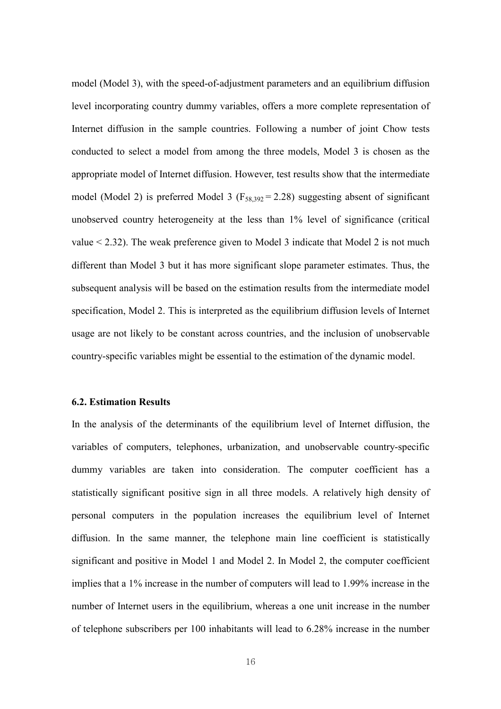model (Model 3), with the speed-of-adjustment parameters and an equilibrium diffusion level incorporating country dummy variables, offers a more complete representation of Internet diffusion in the sample countries. Following a number of joint Chow tests conducted to select a model from among the three models, Model 3 is chosen as the appropriate model of Internet diffusion. However, test results show that the intermediate model (Model 2) is preferred Model 3 ( $F_{58,392} = 2.28$ ) suggesting absent of significant unobserved country heterogeneity at the less than 1% level of significance (critical value < 2.32). The weak preference given to Model 3 indicate that Model 2 is not much different than Model 3 but it has more significant slope parameter estimates. Thus, the subsequent analysis will be based on the estimation results from the intermediate model specification, Model 2. This is interpreted as the equilibrium diffusion levels of Internet usage are not likely to be constant across countries, and the inclusion of unobservable country-specific variables might be essential to the estimation of the dynamic model.

## 6.2. Estimation Results

In the analysis of the determinants of the equilibrium level of Internet diffusion, the variables of computers, telephones, urbanization, and unobservable country-specific dummy variables are taken into consideration. The computer coefficient has a statistically significant positive sign in all three models. A relatively high density of personal computers in the population increases the equilibrium level of Internet diffusion. In the same manner, the telephone main line coefficient is statistically significant and positive in Model 1 and Model 2. In Model 2, the computer coefficient implies that a 1% increase in the number of computers will lead to 1.99% increase in the number of Internet users in the equilibrium, whereas a one unit increase in the number of telephone subscribers per 100 inhabitants will lead to 6.28% increase in the number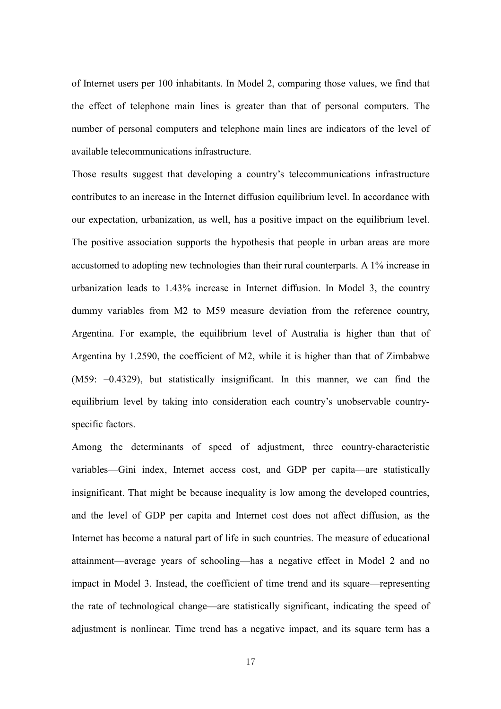of Internet users per 100 inhabitants. In Model 2, comparing those values, we find that the effect of telephone main lines is greater than that of personal computers. The number of personal computers and telephone main lines are indicators of the level of available telecommunications infrastructure.

Those results suggest that developing a country's telecommunications infrastructure contributes to an increase in the Internet diffusion equilibrium level. In accordance with our expectation, urbanization, as well, has a positive impact on the equilibrium level. The positive association supports the hypothesis that people in urban areas are more accustomed to adopting new technologies than their rural counterparts. A 1% increase in urbanization leads to 1.43% increase in Internet diffusion. In Model 3, the country dummy variables from M2 to M59 measure deviation from the reference country, Argentina. For example, the equilibrium level of Australia is higher than that of Argentina by 1.2590, the coefficient of M2, while it is higher than that of Zimbabwe (M59: −0.4329), but statistically insignificant. In this manner, we can find the equilibrium level by taking into consideration each country's unobservable countryspecific factors.

Among the determinants of speed of adjustment, three country-characteristic variables—Gini index, Internet access cost, and GDP per capita—are statistically insignificant. That might be because inequality is low among the developed countries, and the level of GDP per capita and Internet cost does not affect diffusion, as the Internet has become a natural part of life in such countries. The measure of educational attainment—average years of schooling—has a negative effect in Model 2 and no impact in Model 3. Instead, the coefficient of time trend and its square—representing the rate of technological change—are statistically significant, indicating the speed of adjustment is nonlinear. Time trend has a negative impact, and its square term has a

17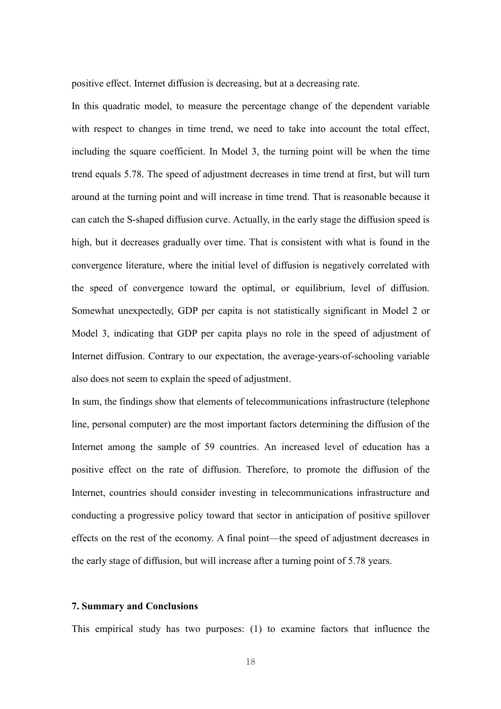positive effect. Internet diffusion is decreasing, but at a decreasing rate.

In this quadratic model, to measure the percentage change of the dependent variable with respect to changes in time trend, we need to take into account the total effect, including the square coefficient. In Model 3, the turning point will be when the time trend equals 5.78. The speed of adjustment decreases in time trend at first, but will turn around at the turning point and will increase in time trend. That is reasonable because it can catch the S-shaped diffusion curve. Actually, in the early stage the diffusion speed is high, but it decreases gradually over time. That is consistent with what is found in the convergence literature, where the initial level of diffusion is negatively correlated with the speed of convergence toward the optimal, or equilibrium, level of diffusion. Somewhat unexpectedly, GDP per capita is not statistically significant in Model 2 or Model 3, indicating that GDP per capita plays no role in the speed of adjustment of Internet diffusion. Contrary to our expectation, the average-years-of-schooling variable also does not seem to explain the speed of adjustment.

In sum, the findings show that elements of telecommunications infrastructure (telephone line, personal computer) are the most important factors determining the diffusion of the Internet among the sample of 59 countries. An increased level of education has a positive effect on the rate of diffusion. Therefore, to promote the diffusion of the Internet, countries should consider investing in telecommunications infrastructure and conducting a progressive policy toward that sector in anticipation of positive spillover effects on the rest of the economy. A final point—the speed of adjustment decreases in the early stage of diffusion, but will increase after a turning point of 5.78 years.

### 7. Summary and Conclusions

This empirical study has two purposes: (1) to examine factors that influence the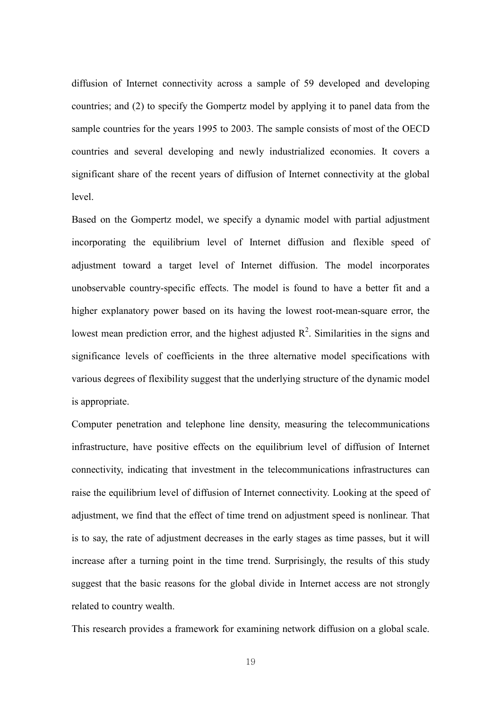diffusion of Internet connectivity across a sample of 59 developed and developing countries; and (2) to specify the Gompertz model by applying it to panel data from the sample countries for the years 1995 to 2003. The sample consists of most of the OECD countries and several developing and newly industrialized economies. It covers a significant share of the recent years of diffusion of Internet connectivity at the global level.

Based on the Gompertz model, we specify a dynamic model with partial adjustment incorporating the equilibrium level of Internet diffusion and flexible speed of adjustment toward a target level of Internet diffusion. The model incorporates unobservable country-specific effects. The model is found to have a better fit and a higher explanatory power based on its having the lowest root-mean-square error, the lowest mean prediction error, and the highest adjusted  $\mathbb{R}^2$ . Similarities in the signs and significance levels of coefficients in the three alternative model specifications with various degrees of flexibility suggest that the underlying structure of the dynamic model is appropriate.

Computer penetration and telephone line density, measuring the telecommunications infrastructure, have positive effects on the equilibrium level of diffusion of Internet connectivity, indicating that investment in the telecommunications infrastructures can raise the equilibrium level of diffusion of Internet connectivity. Looking at the speed of adjustment, we find that the effect of time trend on adjustment speed is nonlinear. That is to say, the rate of adjustment decreases in the early stages as time passes, but it will increase after a turning point in the time trend. Surprisingly, the results of this study suggest that the basic reasons for the global divide in Internet access are not strongly related to country wealth.

This research provides a framework for examining network diffusion on a global scale.

19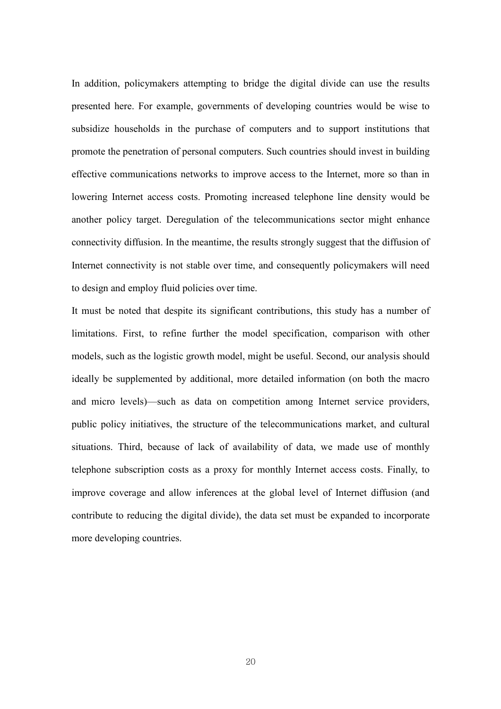In addition, policymakers attempting to bridge the digital divide can use the results presented here. For example, governments of developing countries would be wise to subsidize households in the purchase of computers and to support institutions that promote the penetration of personal computers. Such countries should invest in building effective communications networks to improve access to the Internet, more so than in lowering Internet access costs. Promoting increased telephone line density would be another policy target. Deregulation of the telecommunications sector might enhance connectivity diffusion. In the meantime, the results strongly suggest that the diffusion of Internet connectivity is not stable over time, and consequently policymakers will need to design and employ fluid policies over time.

It must be noted that despite its significant contributions, this study has a number of limitations. First, to refine further the model specification, comparison with other models, such as the logistic growth model, might be useful. Second, our analysis should ideally be supplemented by additional, more detailed information (on both the macro and micro levels)—such as data on competition among Internet service providers, public policy initiatives, the structure of the telecommunications market, and cultural situations. Third, because of lack of availability of data, we made use of monthly telephone subscription costs as a proxy for monthly Internet access costs. Finally, to improve coverage and allow inferences at the global level of Internet diffusion (and contribute to reducing the digital divide), the data set must be expanded to incorporate more developing countries.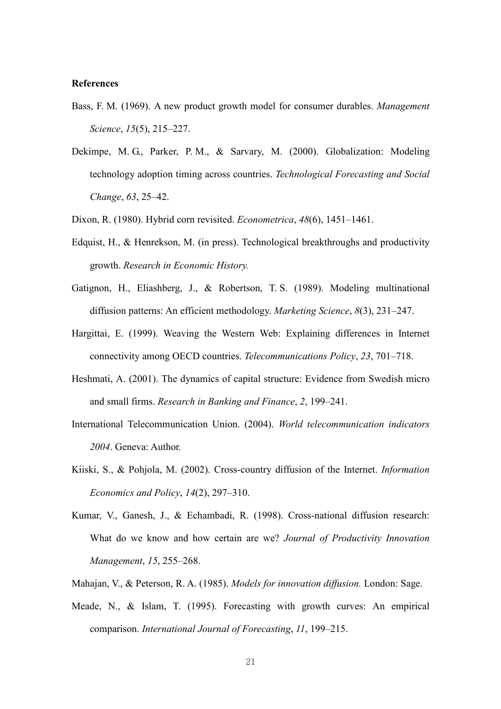#### References

- Bass, F. M. (1969). A new product growth model for consumer durables. Management Science, 15(5), 215–227.
- Dekimpe, M. G., Parker, P. M., & Sarvary, M. (2000). Globalization: Modeling technology adoption timing across countries. Technological Forecasting and Social Change, 63, 25–42.
- Dixon, R. (1980). Hybrid corn revisited. *Econometrica*, 48(6), 1451–1461.
- Edquist, H., & Henrekson, M. (in press). Technological breakthroughs and productivity growth. Research in Economic History.
- Gatignon, H., Eliashberg, J., & Robertson, T. S. (1989). Modeling multinational diffusion patterns: An efficient methodology. Marketing Science, 8(3), 231–247.
- Hargittai, E. (1999). Weaving the Western Web: Explaining differences in Internet connectivity among OECD countries. Telecommunications Policy, 23, 701–718.
- Heshmati, A. (2001). The dynamics of capital structure: Evidence from Swedish micro and small firms. Research in Banking and Finance, 2, 199–241.
- International Telecommunication Union. (2004). World telecommunication indicators 2004. Geneva: Author.
- Kiiski, S., & Pohjola, M. (2002). Cross-country diffusion of the Internet. Information Economics and Policy, 14(2), 297–310.
- Kumar, V., Ganesh, J., & Echambadi, R. (1998). Cross-national diffusion research: What do we know and how certain are we? Journal of Productivity Innovation Management, 15, 255–268.
- Mahajan, V., & Peterson, R. A. (1985). Models for innovation diffusion. London: Sage.
- Meade, N., & Islam, T. (1995). Forecasting with growth curves: An empirical comparison. International Journal of Forecasting, 11, 199–215.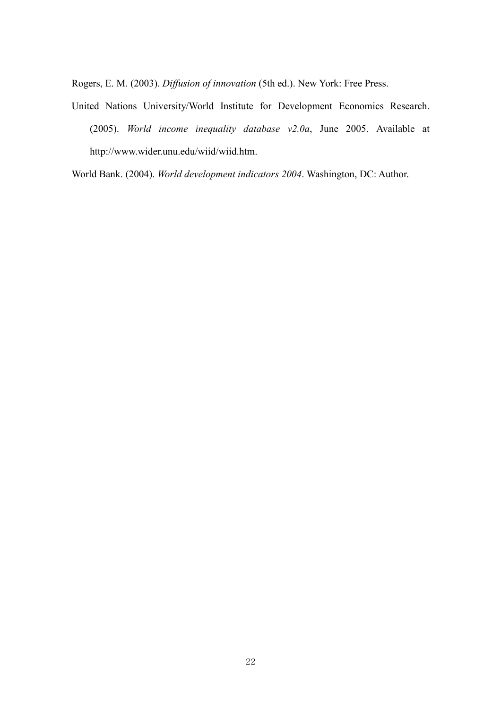Rogers, E. M. (2003). Diffusion of innovation (5th ed.). New York: Free Press.

United Nations University/World Institute for Development Economics Research. (2005). World income inequality database v2.0a, June 2005. Available at http://www.wider.unu.edu/wiid/wiid.htm.

World Bank. (2004). World development indicators 2004. Washington, DC: Author.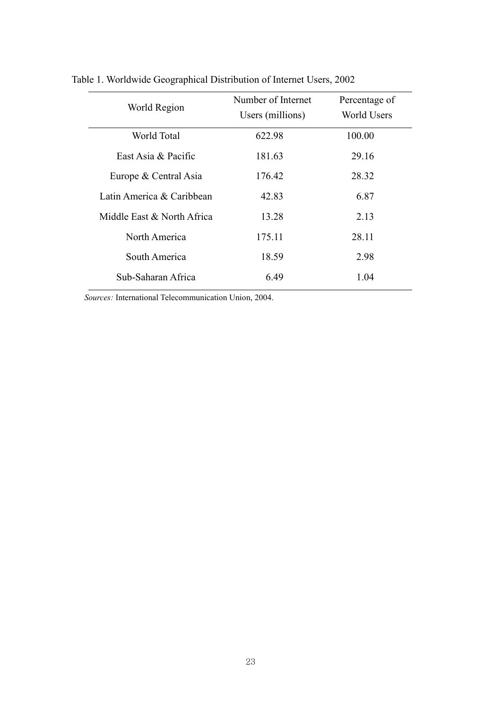| World Region               | Number of Internet<br>Users (millions) | Percentage of<br><b>World Users</b> |  |
|----------------------------|----------------------------------------|-------------------------------------|--|
| World Total                | 622.98                                 | 100.00                              |  |
| East Asia & Pacific        | 181.63                                 | 29.16                               |  |
| Europe & Central Asia      | 176.42                                 | 28.32                               |  |
| Latin America & Caribbean  | 42.83                                  | 6.87                                |  |
| Middle East & North Africa | 13.28                                  | 2.13                                |  |
| North America              | 175.11                                 | 28.11                               |  |
| South America              | 18.59                                  | 2.98                                |  |
| Sub-Saharan Africa         | 6.49                                   | 1.04                                |  |

Table 1. Worldwide Geographical Distribution of Internet Users, 2002

Sources: International Telecommunication Union, 2004.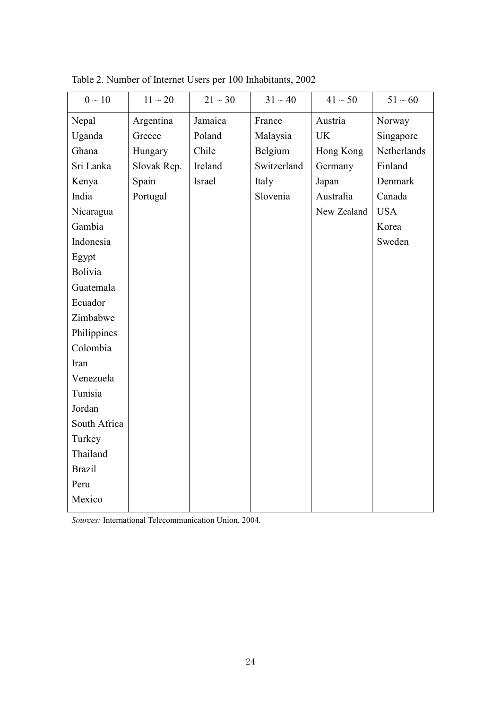| $0 \sim 10$    | $11 \sim 20$ | $21 \sim 30$ | $31 \sim 40$ | $41 \sim 50$ | $51 \sim 60$ |
|----------------|--------------|--------------|--------------|--------------|--------------|
| Nepal          | Argentina    | Jamaica      | France       | Austria      | Norway       |
| Uganda         | Greece       | Poland       | Malaysia     | <b>UK</b>    | Singapore    |
| Ghana          | Hungary      | Chile        | Belgium      | Hong Kong    | Netherlands  |
| Sri Lanka      | Slovak Rep.  | Ireland      | Switzerland  | Germany      | Finland      |
| Kenya          | Spain        | Israel       | Italy        | Japan        | Denmark      |
| India          | Portugal     |              | Slovenia     | Australia    | Canada       |
| Nicaragua      |              |              |              | New Zealand  | <b>USA</b>   |
| Gambia         |              |              |              |              | Korea        |
| Indonesia      |              |              |              |              | Sweden       |
| Egypt          |              |              |              |              |              |
| <b>Bolivia</b> |              |              |              |              |              |
| Guatemala      |              |              |              |              |              |
| Ecuador        |              |              |              |              |              |
| Zimbabwe       |              |              |              |              |              |
| Philippines    |              |              |              |              |              |
| Colombia       |              |              |              |              |              |
| Iran           |              |              |              |              |              |
| Venezuela      |              |              |              |              |              |
| Tunisia        |              |              |              |              |              |
| Jordan         |              |              |              |              |              |
| South Africa   |              |              |              |              |              |
| Turkey         |              |              |              |              |              |
| Thailand       |              |              |              |              |              |
| <b>Brazil</b>  |              |              |              |              |              |
| Peru           |              |              |              |              |              |
| Mexico         |              |              |              |              |              |

Table 2. Number of Internet Users per 100 Inhabitants, 2002

Sources: International Telecommunication Union, 2004.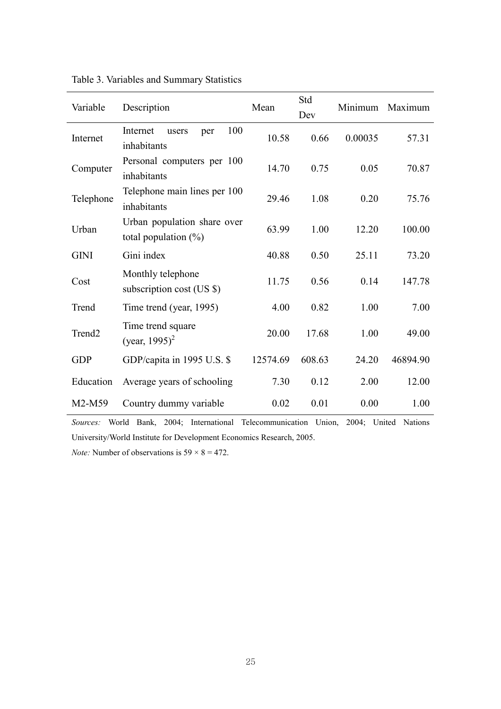| Variable           | Description                                            | Mean     | Std<br>Dev | Minimum | Maximum  |
|--------------------|--------------------------------------------------------|----------|------------|---------|----------|
| Internet           | 100<br>Internet<br>users<br>per<br>inhabitants         | 10.58    | 0.66       | 0.00035 | 57.31    |
| Computer           | Personal computers per 100<br>inhabitants              | 14.70    | 0.75       | 0.05    | 70.87    |
| Telephone          | Telephone main lines per 100<br>inhabitants            | 29.46    | 1.08       | 0.20    | 75.76    |
| Urban              | Urban population share over<br>total population $(\%)$ | 63.99    | 1.00       | 12.20   | 100.00   |
| <b>GINI</b>        | Gini index                                             | 40.88    | 0.50       | 25.11   | 73.20    |
| Cost               | Monthly telephone<br>subscription cost (US \$)         | 11.75    | 0.56       | 0.14    | 147.78   |
| Trend              | Time trend (year, 1995)                                | 4.00     | 0.82       | 1.00    | 7.00     |
| Trend <sub>2</sub> | Time trend square<br>(year, 1995) <sup>2</sup>         | 20.00    | 17.68      | 1.00    | 49.00    |
| <b>GDP</b>         | GDP/capita in 1995 U.S. \$                             | 12574.69 | 608.63     | 24.20   | 46894.90 |
| Education          | Average years of schooling                             | 7.30     | 0.12       | 2.00    | 12.00    |
| M2-M59             | Country dummy variable                                 | 0.02     | 0.01       | 0.00    | 1.00     |

Sources: World Bank, 2004; International Telecommunication Union, 2004; United Nations University/World Institute for Development Economics Research, 2005.

*Note:* Number of observations is  $59 \times 8 = 472$ .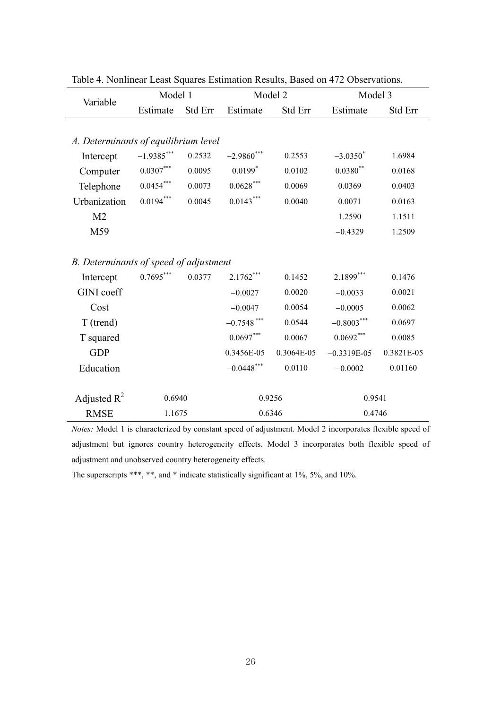| Variable                               | Model 1          |         | Model 2        |            | Model 3       |            |
|----------------------------------------|------------------|---------|----------------|------------|---------------|------------|
|                                        | Estimate         | Std Err | Estimate       | Std Err    | Estimate      | Std Err    |
|                                        |                  |         |                |            |               |            |
| A. Determinants of equilibrium level   |                  |         |                |            |               |            |
| Intercept                              | $-1.9385***$     | 0.2532  | $-2.9860$ ***  | 0.2553     | $-3.0350^*$   | 1.6984     |
| Computer                               | $0.0307^{***}\,$ | 0.0095  | $0.0199*$      | 0.0102     | $0.0380**$    | 0.0168     |
| Telephone                              | $0.0454***$      | 0.0073  | $0.0628^{***}$ | 0.0069     | 0.0369        | 0.0403     |
| Urbanization                           | $0.0194***$      | 0.0045  | $0.0143***$    | 0.0040     | 0.0071        | 0.0163     |
| M <sub>2</sub>                         |                  |         |                |            | 1.2590        | 1.1511     |
| M59                                    |                  |         |                |            | $-0.4329$     | 1.2509     |
|                                        |                  |         |                |            |               |            |
| B. Determinants of speed of adjustment |                  |         |                |            |               |            |
| Intercept                              | $0.7695***$      | 0.0377  | $2.1762***$    | 0.1452     | $2.1899***$   | 0.1476     |
| <b>GINI</b> coeff                      |                  |         | $-0.0027$      | 0.0020     | $-0.0033$     | 0.0021     |
| Cost                                   |                  |         | $-0.0047$      | 0.0054     | $-0.0005$     | 0.0062     |
| T (trend)                              |                  |         | $-0.7548$ ***  | 0.0544     | $-0.8003***$  | 0.0697     |
| T squared                              |                  |         | $0.0697***$    | 0.0067     | $0.0692***$   | 0.0085     |
| <b>GDP</b>                             |                  |         | 0.3456E-05     | 0.3064E-05 | $-0.3319E-05$ | 0.3821E-05 |
| Education                              |                  |         | $-0.0448$ ***  | 0.0110     | $-0.0002$     | 0.01160    |
|                                        |                  |         |                |            |               |            |
| Adjusted $R^2$                         | 0.6940           |         |                | 0.9256     | 0.9541        |            |
| <b>RMSE</b>                            | 1.1675           |         | 0.6346         |            | 0.4746        |            |

Table 4. Nonlinear Least Squares Estimation Results, Based on 472 Observations.

Notes: Model 1 is characterized by constant speed of adjustment. Model 2 incorporates flexible speed of adjustment but ignores country heterogeneity effects. Model 3 incorporates both flexible speed of adjustment and unobserved country heterogeneity effects.

The superscripts \*\*\*, \*\*, and \* indicate statistically significant at 1%, 5%, and 10%.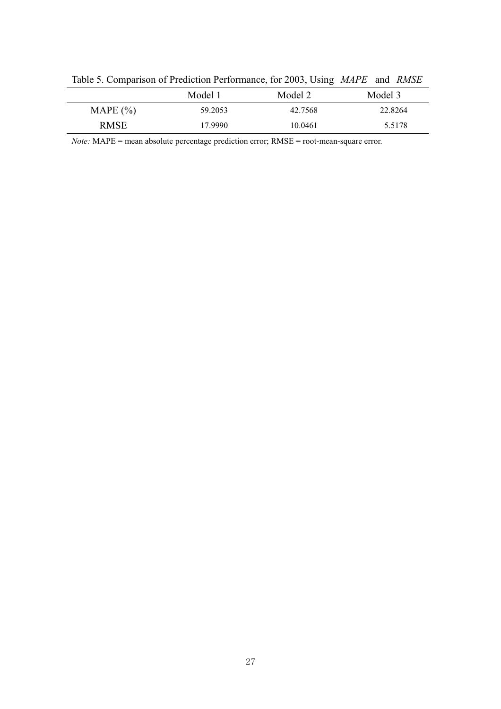| Table 5. Comparison of Frequencia Ferrormance, for $2003$ , Comparison and Tunbil |         |         |         |  |  |
|-----------------------------------------------------------------------------------|---------|---------|---------|--|--|
|                                                                                   | Model 1 | Model 2 | Model 3 |  |  |
| MAPE $(\% )$                                                                      | 59.2053 | 42.7568 | 22.8264 |  |  |
| <b>RMSE</b>                                                                       | 17.9990 | 10.0461 | 5.5178  |  |  |

Table 5. Comparison of Prediction Performance, for 2003, Using MAPE and RMSE

Note: MAPE = mean absolute percentage prediction error; RMSE = root-mean-square error.